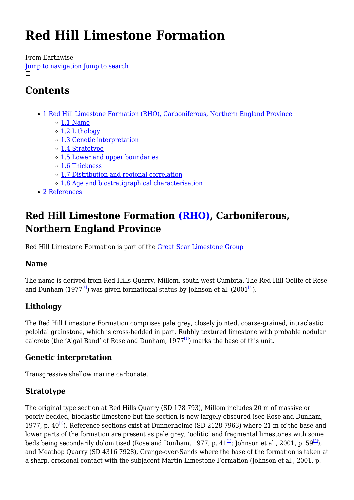# **Red Hill Limestone Formation**

From Earthwise

[Jump to navigation](#page--1-0) [Jump to search](#page--1-0)  $\Box$ 

## **Contents**

- [1](#Red_Hill_Limestone_Formation_.28RHO.29.2C_Carboniferous.2C_Northern_England_Province) [Red Hill Limestone Formation \(RHO\), Carboniferous, Northern England Province](#Red_Hill_Limestone_Formation_.28RHO.29.2C_Carboniferous.2C_Northern_England_Province)
	- $\circ$  [1.1](#page--1-0) [Name](#page--1-0)
	- [1.2](#page--1-0) [Lithology](#page--1-0)
	- [1.3](#page--1-0) [Genetic interpretation](#page--1-0)
	- [1.4](#page--1-0) [Stratotype](#page--1-0)
	- [1.5](#page--1-0) [Lower and upper boundaries](#page--1-0)
	- o [1.6](#page--1-0) [Thickness](#page--1-0)
	- [1.7](#page--1-0) [Distribution and regional correlation](#page--1-0)
	- [1.8](#page--1-0) [Age and biostratigraphical characterisation](#page--1-0)
- [2](#page--1-0) [References](#page--1-0)

## **Red Hill Limestone Formation [\(RHO\)](http://www.bgs.ac.uk/lexicon/lexicon.cfm?pub=RHO), Carboniferous, Northern England Province**

Red Hill Limestone Formation is part of the [Great Scar Limestone Group](http://earthwise.bgs.ac.uk/index.php?title=Great_Scar_Limestone_Group&action=edit&redlink=1)

## **Name**

The name is derived from Red Hills Quarry, Millom, south-west Cumbria. The Red Hill Oolite of Rose and Dunham (1977<sup>[\[1\]](#page--1-0)</sup>) was given formational status by Johnson et al. (2001<sup>[\[2\]](#page--1-0)</sup>).

## **Lithology**

The Red Hill Limestone Formation comprises pale grey, closely jointed, coarse-grained, intraclastic peloidal grainstone, which is cross-bedded in part. Rubbly textured limestone with probable nodular calcrete (the 'Algal Band' of Rose and Dunham,  $1977<sup>[11]</sup>$ ) marks the base of this unit.

### **Genetic interpretation**

Transgressive shallow marine carbonate.

## **Stratotype**

The original type section at Red Hills Quarry (SD 178 793), Millom includes 20 m of massive or poorly bedded, bioclastic limestone but the section is now largely obscured (see Rose and Dunham, 1977, p.  $40^{11}$ ). Reference sections exist at Dunnerholme (SD 2128 7963) where 21 m of the base and lower parts of the formation are present as pale grey, 'oolitic' and fragmental limestones with some beds being secondarily dolomitised (Rose and Dunham, 1977, p.  $41^{11}$ ; Johnson et al., 2001, p. 59<sup>[\[2\]](#page--1-0)</sup>), and Meathop Quarry (SD 4316 7928), Grange-over-Sands where the base of the formation is taken at a sharp, erosional contact with the subjacent Martin Limestone Formation (Johnson et al., 2001, p.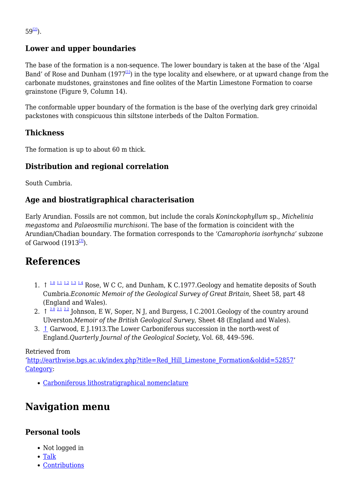$59^{[2]}$  $59^{[2]}$  $59^{[2]}$ ).

### **Lower and upper boundaries**

The base of the formation is a non-sequence. The lower boundary is taken at the base of the 'Algal Band' of Rose and Dunham  $(1977^{11})$  in the type locality and elsewhere, or at upward change from the carbonate mudstones, grainstones and fine oolites of the Martin Limestone Formation to coarse grainstone (Figure 9, Column 14).

The conformable upper boundary of the formation is the base of the overlying dark grey crinoidal packstones with conspicuous thin siltstone interbeds of the Dalton Formation.

#### **Thickness**

The formation is up to about 60 m thick.

#### **Distribution and regional correlation**

South Cumbria.

#### **Age and biostratigraphical characterisation**

Early Arundian. Fossils are not common, but include the corals *Koninckophyllum* sp., *Michelinia megastoma* and *Palaeosmilia murchisoni*. The base of the formation is coincident with the Arundian/Chadian boundary. The formation corresponds to the *'Camarophoria isorhyncha'* subzone of Garwood  $(1913^{3})$ .

## **References**

- 1.  $\uparrow$  <sup>[1.0](#page--1-0) [1.1](#page--1-0) [1.2](#page--1-0) [1.3](#page--1-0) [1.4](#page--1-0)</sup> Rose, W C C, and Dunham, K C.1977.Geology and hematite deposits of South Cumbria.*Economic Memoir of the Geological Survey of Great Britain*, Sheet 58, part 48 (England and Wales).
- 2.  $\uparrow$   $\frac{2.0 \times 1.22}{2.1 \times 2.2}$  $\frac{2.0 \times 1.22}{2.1 \times 2.2}$  $\frac{2.0 \times 1.22}{2.1 \times 2.2}$  $\frac{2.0 \times 1.22}{2.1 \times 2.2}$  $\frac{2.0 \times 1.22}{2.1 \times 2.2}$  $\frac{2.0 \times 1.22}{2.1 \times 2.2}$  $\frac{2.0 \times 1.22}{2.1 \times 2.2}$  Johnson, E W, Soper, N J, and Burgess, I C.2001.Geology of the country around Ulverston.*Memoir of the British Geological Survey*, Sheet 48 (England and Wales).
- 3. [↑](#page--1-0) Garwood, E J.1913.The Lower Carboniferous succession in the north-west of England.*Quarterly Journal of the Geological Society*, Vol. 68, 449–596.

#### Retrieved from

'[http://earthwise.bgs.ac.uk/index.php?title=Red\\_Hill\\_Limestone\\_Formation&oldid=52857'](http://earthwise.bgs.ac.uk/index.php?title=Red_Hill_Limestone_Formation&oldid=52857) [Category](http://earthwise.bgs.ac.uk/index.php/Special:Categories):

[Carboniferous lithostratigraphical nomenclature](http://earthwise.bgs.ac.uk/index.php/Category:Carboniferous_lithostratigraphical_nomenclature)

## **Navigation menu**

#### **Personal tools**

- Not logged in
- [Talk](http://earthwise.bgs.ac.uk/index.php/Special:MyTalk)
- [Contributions](http://earthwise.bgs.ac.uk/index.php/Special:MyContributions)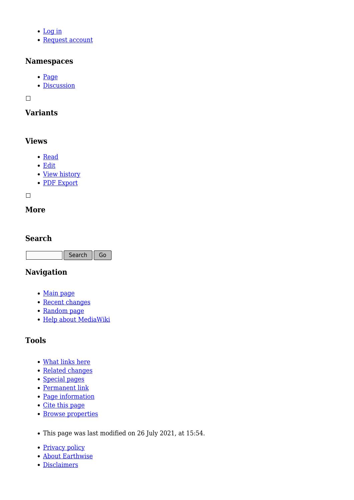- [Log in](http://earthwise.bgs.ac.uk/index.php?title=Special:UserLogin&returnto=Red+Hill+Limestone+Formation&returntoquery=action%3Dmpdf)
- [Request account](http://earthwise.bgs.ac.uk/index.php/Special:RequestAccount)

#### **Namespaces**

- [Page](http://earthwise.bgs.ac.uk/index.php/Red_Hill_Limestone_Formation)
- [Discussion](http://earthwise.bgs.ac.uk/index.php?title=Talk:Red_Hill_Limestone_Formation&action=edit&redlink=1)

 $\overline{\phantom{a}}$ 

#### **Variants**

#### **Views**

- [Read](http://earthwise.bgs.ac.uk/index.php/Red_Hill_Limestone_Formation)
- [Edit](http://earthwise.bgs.ac.uk/index.php?title=Red_Hill_Limestone_Formation&action=edit)
- [View history](http://earthwise.bgs.ac.uk/index.php?title=Red_Hill_Limestone_Formation&action=history)
- [PDF Export](http://earthwise.bgs.ac.uk/index.php?title=Red_Hill_Limestone_Formation&action=mpdf)

 $\Box$ 

#### **More**

#### **Search**

Search  $\|$  Go

#### **Navigation**

- [Main page](http://earthwise.bgs.ac.uk/index.php/Main_Page)
- [Recent changes](http://earthwise.bgs.ac.uk/index.php/Special:RecentChanges)
- [Random page](http://earthwise.bgs.ac.uk/index.php/Special:Random)
- [Help about MediaWiki](https://www.mediawiki.org/wiki/Special:MyLanguage/Help:Contents)

### **Tools**

- [What links here](http://earthwise.bgs.ac.uk/index.php/Special:WhatLinksHere/Red_Hill_Limestone_Formation)
- [Related changes](http://earthwise.bgs.ac.uk/index.php/Special:RecentChangesLinked/Red_Hill_Limestone_Formation)
- [Special pages](http://earthwise.bgs.ac.uk/index.php/Special:SpecialPages)
- [Permanent link](http://earthwise.bgs.ac.uk/index.php?title=Red_Hill_Limestone_Formation&oldid=52857)
- [Page information](http://earthwise.bgs.ac.uk/index.php?title=Red_Hill_Limestone_Formation&action=info)
- [Cite this page](http://earthwise.bgs.ac.uk/index.php?title=Special:CiteThisPage&page=Red_Hill_Limestone_Formation&id=52857)
- [Browse properties](http://earthwise.bgs.ac.uk/index.php/Special:Browse/:Red-5FHill-5FLimestone-5FFormation)
- This page was last modified on 26 July 2021, at 15:54.
- [Privacy policy](http://earthwise.bgs.ac.uk/index.php/Earthwise:Privacy_policy)
- [About Earthwise](http://earthwise.bgs.ac.uk/index.php/Earthwise:About)
- [Disclaimers](http://earthwise.bgs.ac.uk/index.php/Earthwise:General_disclaimer)